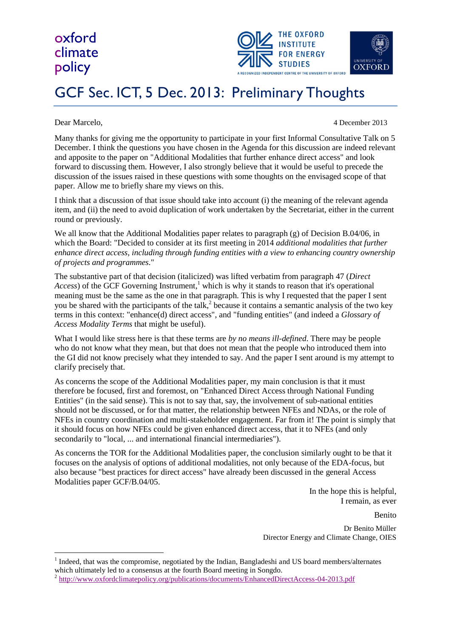## oxford climate policy



## GCF Sec. ICT, 5 Dec. 2013: Preliminary Thoughts

<u>.</u>

Dear Marcelo, 4 December 2013

Many thanks for giving me the opportunity to participate in your first Informal Consultative Talk on 5 December. I think the questions you have chosen in the Agenda for this discussion are indeed relevant and apposite to the paper on "Additional Modalities that further enhance direct access" and look forward to discussing them. However, I also strongly believe that it would be useful to precede the discussion of the issues raised in these questions with some thoughts on the envisaged scope of that paper. Allow me to briefly share my views on this.

I think that a discussion of that issue should take into account (i) the meaning of the relevant agenda item, and (ii) the need to avoid duplication of work undertaken by the Secretariat, either in the current round or previously.

We all know that the Additional Modalities paper relates to paragraph (g) of Decision B.04/06, in which the Board: "Decided to consider at its first meeting in 2014 *additional modalities that further enhance direct access, including through funding entities with a view to enhancing country ownership of projects and programmes.*"

The substantive part of that decision (italicized) was lifted verbatim from paragraph 47 (*Direct*  Access) of the GCF Governing Instrument,<sup>1</sup> which is why it stands to reason that it's operational meaning must be the same as the one in that paragraph. This is why I requested that the paper I sent you be shared with the participants of the talk,<sup>2</sup> because it contains a semantic analysis of the two key terms in this context: "enhance(d) direct access", and "funding entities" (and indeed a *Glossary of Access Modality Terms* that might be useful).

What I would like stress here is that these terms are *by no means ill-defined*. There may be people who do not know what they mean, but that does not mean that the people who introduced them into the GI did not know precisely what they intended to say. And the paper I sent around is my attempt to clarify precisely that.

As concerns the scope of the Additional Modalities paper, my main conclusion is that it must therefore be focused, first and foremost, on "Enhanced Direct Access through National Funding Entities" (in the said sense). This is not to say that, say, the involvement of sub-national entities should not be discussed, or for that matter, the relationship between NFEs and NDAs, or the role of NFEs in country coordination and multi-stakeholder engagement. Far from it! The point is simply that it should focus on how NFEs could be given enhanced direct access, that it to NFEs (and only secondarily to "local, ... and international financial intermediaries").

As concerns the TOR for the Additional Modalities paper, the conclusion similarly ought to be that it focuses on the analysis of options of additional modalities, not only because of the EDA-focus, but also because "best practices for direct access" have already been discussed in the general Access Modalities paper GCF/B.04/05.

> In the hope this is helpful, I remain, as ever

Benito Dr Benito Müller Director Energy and Climate Change, OIES

<sup>1</sup> Indeed, that was the compromise, negotiated by the Indian, Bangladeshi and US board members/alternates which ultimately led to a consensus at the fourth Board meeting in Songdo.

<sup>&</sup>lt;sup>2</sup> <http://www.oxfordclimatepolicy.org/publications/documents/EnhancedDirectAccess-04-2013.pdf>